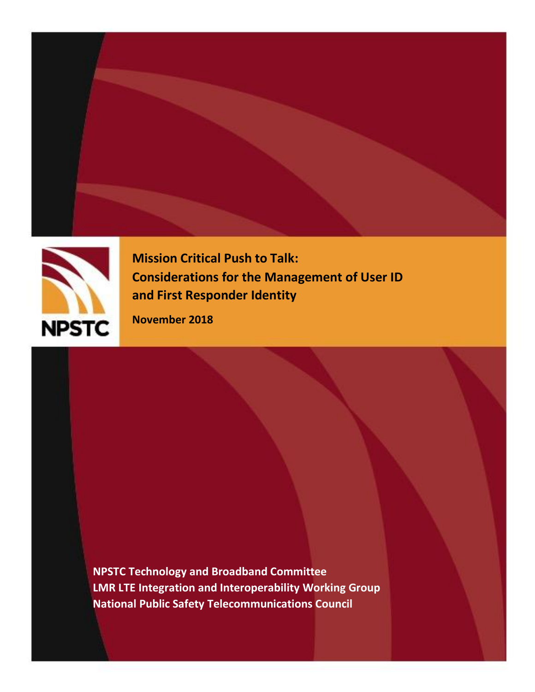



**Mission Critical Push to Talk: Considerations for the Management of User ID and First Responder Identity**

**November 2018**

**NPSTC Technology and Broadband Committee LMR LTE Integration and Interoperability Working Group National Public Safety Telecommunications Council**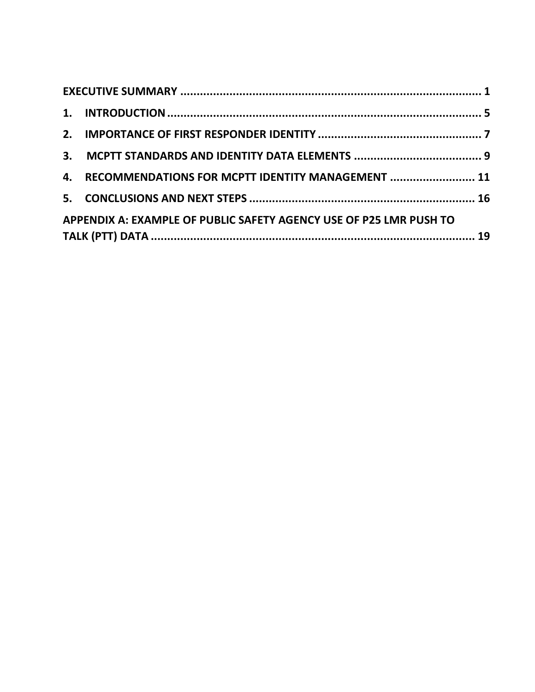|  | 4. RECOMMENDATIONS FOR MCPTT IDENTITY MANAGEMENT  11               |  |  |  |
|--|--------------------------------------------------------------------|--|--|--|
|  |                                                                    |  |  |  |
|  | APPENDIX A: EXAMPLE OF PUBLIC SAFETY AGENCY USE OF P25 LMR PUSH TO |  |  |  |
|  |                                                                    |  |  |  |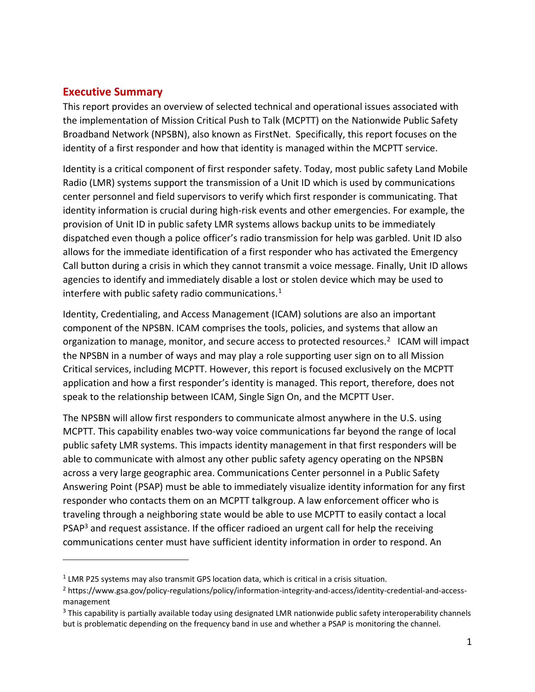#### <span id="page-2-0"></span>**Executive Summary**

 $\overline{a}$ 

This report provides an overview of selected technical and operational issues associated with the implementation of Mission Critical Push to Talk (MCPTT) on the Nationwide Public Safety Broadband Network (NPSBN), also known as FirstNet. Specifically, this report focuses on the identity of a first responder and how that identity is managed within the MCPTT service.

Identity is a critical component of first responder safety. Today, most public safety Land Mobile Radio (LMR) systems support the transmission of a Unit ID which is used by communications center personnel and field supervisors to verify which first responder is communicating. That identity information is crucial during high-risk events and other emergencies. For example, the provision of Unit ID in public safety LMR systems allows backup units to be immediately dispatched even though a police officer's radio transmission for help was garbled. Unit ID also allows for the immediate identification of a first responder who has activated the Emergency Call button during a crisis in which they cannot transmit a voice message. Finally, Unit ID allows agencies to identify and immediately disable a lost or stolen device which may be used to interfere with public safety radio communications. $1$ 

Identity, Credentialing, and Access Management (ICAM) solutions are also an important component of the NPSBN. ICAM comprises the tools, policies, and systems that allow an organization to manage, monitor, and secure access to protected resources.<sup>2</sup> ICAM will impact the NPSBN in a number of ways and may play a role supporting user sign on to all Mission Critical services, including MCPTT. However, this report is focused exclusively on the MCPTT application and how a first responder's identity is managed. This report, therefore, does not speak to the relationship between ICAM, Single Sign On, and the MCPTT User.

The NPSBN will allow first responders to communicate almost anywhere in the U.S. using MCPTT. This capability enables two-way voice communications far beyond the range of local public safety LMR systems. This impacts identity management in that first responders will be able to communicate with almost any other public safety agency operating on the NPSBN across a very large geographic area. Communications Center personnel in a Public Safety Answering Point (PSAP) must be able to immediately visualize identity information for any first responder who contacts them on an MCPTT talkgroup. A law enforcement officer who is traveling through a neighboring state would be able to use MCPTT to easily contact a local PSAP<sup>3</sup> and request assistance. If the officer radioed an urgent call for help the receiving communications center must have sufficient identity information in order to respond. An

 $<sup>1</sup>$  LMR P25 systems may also transmit GPS location data, which is critical in a crisis situation.</sup>

<sup>2</sup> https://www.gsa.gov/policy-regulations/policy/information-integrity-and-access/identity-credential-and-accessmanagement

<sup>&</sup>lt;sup>3</sup> This capability is partially available today using designated LMR nationwide public safety interoperability channels but is problematic depending on the frequency band in use and whether a PSAP is monitoring the channel.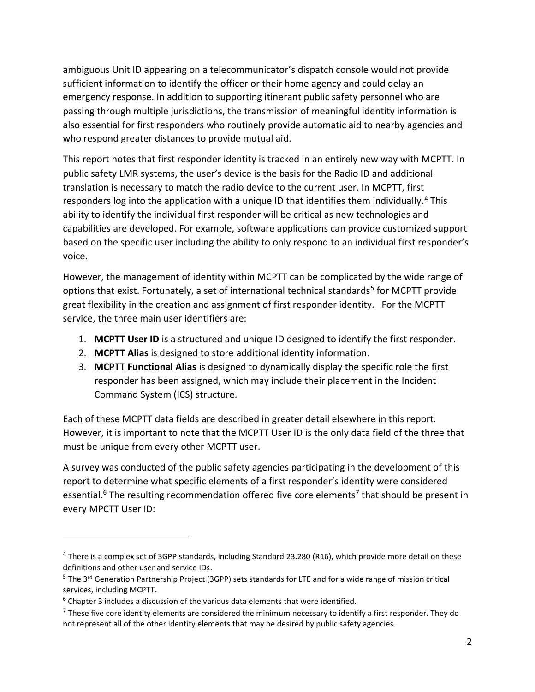ambiguous Unit ID appearing on a telecommunicator's dispatch console would not provide sufficient information to identify the officer or their home agency and could delay an emergency response. In addition to supporting itinerant public safety personnel who are passing through multiple jurisdictions, the transmission of meaningful identity information is also essential for first responders who routinely provide automatic aid to nearby agencies and who respond greater distances to provide mutual aid.

This report notes that first responder identity is tracked in an entirely new way with MCPTT. In public safety LMR systems, the user's device is the basis for the Radio ID and additional translation is necessary to match the radio device to the current user. In MCPTT, first responders log into the application with a unique ID that identifies them individually.<sup>4</sup> This ability to identify the individual first responder will be critical as new technologies and capabilities are developed. For example, software applications can provide customized support based on the specific user including the ability to only respond to an individual first responder's voice.

However, the management of identity within MCPTT can be complicated by the wide range of options that exist. Fortunately, a set of international technical standards<sup>5</sup> for MCPTT provide great flexibility in the creation and assignment of first responder identity. For the MCPTT service, the three main user identifiers are:

- 1. **MCPTT User ID** is a structured and unique ID designed to identify the first responder.
- 2. **MCPTT Alias** is designed to store additional identity information.
- 3. **MCPTT Functional Alias** is designed to dynamically display the specific role the first responder has been assigned, which may include their placement in the Incident Command System (ICS) structure.

Each of these MCPTT data fields are described in greater detail elsewhere in this report. However, it is important to note that the MCPTT User ID is the only data field of the three that must be unique from every other MCPTT user.

A survey was conducted of the public safety agencies participating in the development of this report to determine what specific elements of a first responder's identity were considered essential.<sup>6</sup> The resulting recommendation offered five core elements<sup>7</sup> that should be present in every MPCTT User ID:

 $\overline{a}$ 

<sup>&</sup>lt;sup>4</sup> There is a complex set of 3GPP standards, including Standard 23.280 (R16), which provide more detail on these definitions and other user and service IDs.

<sup>5</sup> The 3rd Generation Partnership Project (3GPP) sets standards for LTE and for a wide range of mission critical services, including MCPTT.

 $6$  Chapter 3 includes a discussion of the various data elements that were identified.

 $<sup>7</sup>$  These five core identity elements are considered the minimum necessary to identify a first responder. They do</sup> not represent all of the other identity elements that may be desired by public safety agencies.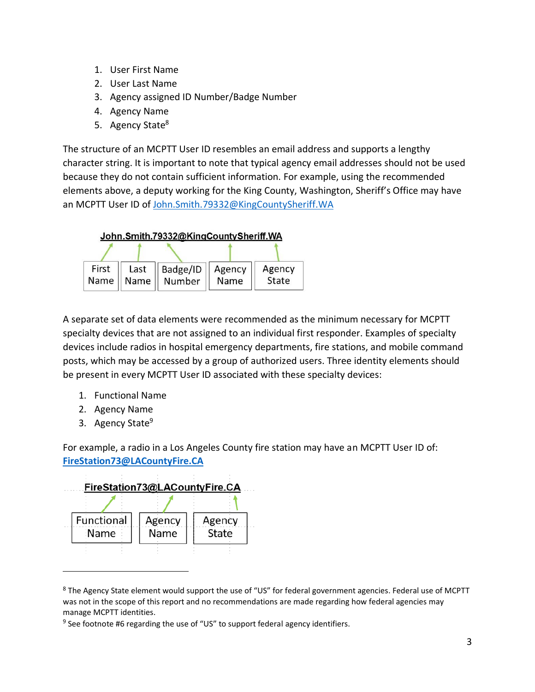- 1. User First Name
- 2. User Last Name
- 3. Agency assigned ID Number/Badge Number
- 4. Agency Name
- 5. Agency State<sup>8</sup>

The structure of an MCPTT User ID resembles an email address and supports a lengthy character string. It is important to note that typical agency email addresses should not be used because they do not contain sufficient information. For example, using the recommended elements above, a deputy working for the King County, Washington, Sheriff's Office may have an MCPTT User ID of [John.Smith.79332@KingCountySheriff.WA](mailto:John.Smith.79332@KingCountySheriff.WA) 



A separate set of data elements were recommended as the minimum necessary for MCPTT specialty devices that are not assigned to an individual first responder. Examples of specialty devices include radios in hospital emergency departments, fire stations, and mobile command posts, which may be accessed by a group of authorized users. Three identity elements should be present in every MCPTT User ID associated with these specialty devices:

- 1. Functional Name
- 2. Agency Name
- 3. Agency State<sup>9</sup>

For example, a radio in a Los Angeles County fire station may have an MCPTT User ID of: **[FireStation73@LACountyFire.CA](mailto:FireStation73@LACountyFire.CA)**



<sup>8</sup> The Agency State element would support the use of "US" for federal government agencies. Federal use of MCPTT was not in the scope of this report and no recommendations are made regarding how federal agencies may manage MCPTT identities.

 $9$  See footnote #6 regarding the use of "US" to support federal agency identifiers.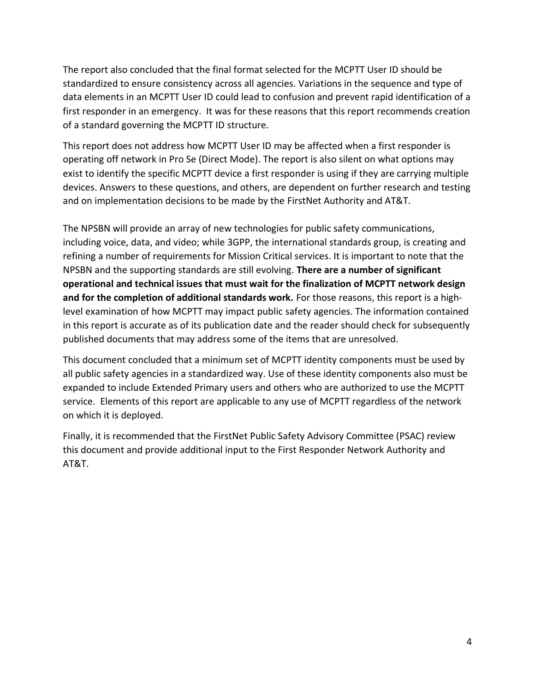The report also concluded that the final format selected for the MCPTT User ID should be standardized to ensure consistency across all agencies. Variations in the sequence and type of data elements in an MCPTT User ID could lead to confusion and prevent rapid identification of a first responder in an emergency. It was for these reasons that this report recommends creation of a standard governing the MCPTT ID structure.

This report does not address how MCPTT User ID may be affected when a first responder is operating off network in Pro Se (Direct Mode). The report is also silent on what options may exist to identify the specific MCPTT device a first responder is using if they are carrying multiple devices. Answers to these questions, and others, are dependent on further research and testing and on implementation decisions to be made by the FirstNet Authority and AT&T.

The NPSBN will provide an array of new technologies for public safety communications, including voice, data, and video; while 3GPP, the international standards group, is creating and refining a number of requirements for Mission Critical services. It is important to note that the NPSBN and the supporting standards are still evolving. **There are a number of significant operational and technical issues that must wait for the finalization of MCPTT network design and for the completion of additional standards work.** For those reasons, this report is a highlevel examination of how MCPTT may impact public safety agencies. The information contained in this report is accurate as of its publication date and the reader should check for subsequently published documents that may address some of the items that are unresolved.

This document concluded that a minimum set of MCPTT identity components must be used by all public safety agencies in a standardized way. Use of these identity components also must be expanded to include Extended Primary users and others who are authorized to use the MCPTT service. Elements of this report are applicable to any use of MCPTT regardless of the network on which it is deployed.

Finally, it is recommended that the FirstNet Public Safety Advisory Committee (PSAC) review this document and provide additional input to the First Responder Network Authority and AT&T.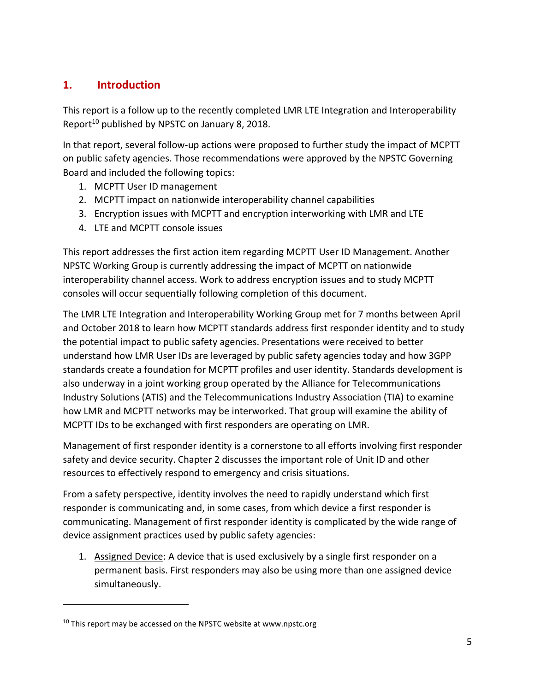# <span id="page-6-0"></span>**1. Introduction**

This report is a follow up to the recently completed LMR LTE Integration and Interoperability Report<sup>10</sup> published by NPSTC on January 8, 2018.

In that report, several follow-up actions were proposed to further study the impact of MCPTT on public safety agencies. Those recommendations were approved by the NPSTC Governing Board and included the following topics:

- 1. MCPTT User ID management
- 2. MCPTT impact on nationwide interoperability channel capabilities
- 3. Encryption issues with MCPTT and encryption interworking with LMR and LTE
- 4. LTE and MCPTT console issues

This report addresses the first action item regarding MCPTT User ID Management. Another NPSTC Working Group is currently addressing the impact of MCPTT on nationwide interoperability channel access. Work to address encryption issues and to study MCPTT consoles will occur sequentially following completion of this document.

The LMR LTE Integration and Interoperability Working Group met for 7 months between April and October 2018 to learn how MCPTT standards address first responder identity and to study the potential impact to public safety agencies. Presentations were received to better understand how LMR User IDs are leveraged by public safety agencies today and how 3GPP standards create a foundation for MCPTT profiles and user identity. Standards development is also underway in a joint working group operated by the Alliance for Telecommunications Industry Solutions (ATIS) and the Telecommunications Industry Association (TIA) to examine how LMR and MCPTT networks may be interworked. That group will examine the ability of MCPTT IDs to be exchanged with first responders are operating on LMR.

Management of first responder identity is a cornerstone to all efforts involving first responder safety and device security. Chapter 2 discusses the important role of Unit ID and other resources to effectively respond to emergency and crisis situations.

From a safety perspective, identity involves the need to rapidly understand which first responder is communicating and, in some cases, from which device a first responder is communicating. Management of first responder identity is complicated by the wide range of device assignment practices used by public safety agencies:

1. Assigned Device: A device that is used exclusively by a single first responder on a permanent basis. First responders may also be using more than one assigned device simultaneously.

 $\overline{a}$ 

 $10$  This report may be accessed on the NPSTC website at www.npstc.org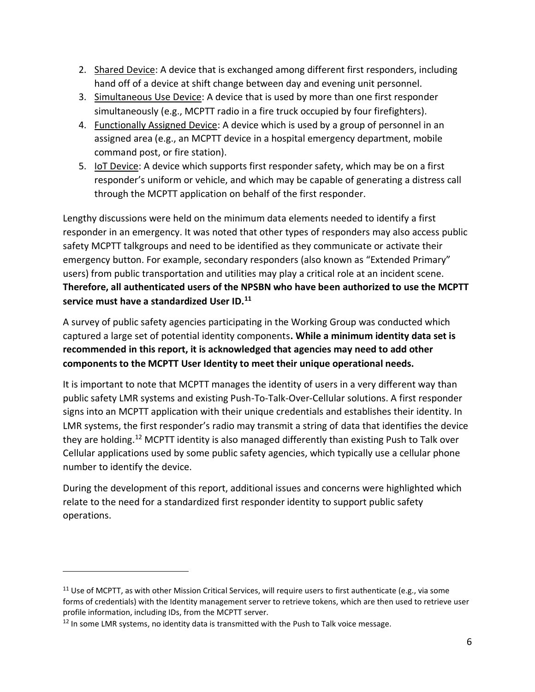- 2. Shared Device: A device that is exchanged among different first responders, including hand off of a device at shift change between day and evening unit personnel.
- 3. Simultaneous Use Device: A device that is used by more than one first responder simultaneously (e.g., MCPTT radio in a fire truck occupied by four firefighters).
- 4. Functionally Assigned Device: A device which is used by a group of personnel in an assigned area (e.g., an MCPTT device in a hospital emergency department, mobile command post, or fire station).
- 5. IoT Device: A device which supports first responder safety, which may be on a first responder's uniform or vehicle, and which may be capable of generating a distress call through the MCPTT application on behalf of the first responder.

Lengthy discussions were held on the minimum data elements needed to identify a first responder in an emergency. It was noted that other types of responders may also access public safety MCPTT talkgroups and need to be identified as they communicate or activate their emergency button. For example, secondary responders (also known as "Extended Primary" users) from public transportation and utilities may play a critical role at an incident scene. **Therefore, all authenticated users of the NPSBN who have been authorized to use the MCPTT service must have a standardized User ID.<sup>11</sup>**

A survey of public safety agencies participating in the Working Group was conducted which captured a large set of potential identity components**. While a minimum identity data set is recommended in this report, it is acknowledged that agencies may need to add other components to the MCPTT User Identity to meet their unique operational needs.**

It is important to note that MCPTT manages the identity of users in a very different way than public safety LMR systems and existing Push-To-Talk-Over-Cellular solutions. A first responder signs into an MCPTT application with their unique credentials and establishes their identity. In LMR systems, the first responder's radio may transmit a string of data that identifies the device they are holding.<sup>12</sup> MCPTT identity is also managed differently than existing Push to Talk over Cellular applications used by some public safety agencies, which typically use a cellular phone number to identify the device.

During the development of this report, additional issues and concerns were highlighted which relate to the need for a standardized first responder identity to support public safety operations.

<sup>&</sup>lt;sup>11</sup> Use of MCPTT, as with other Mission Critical Services, will require users to first authenticate (e.g., via some forms of credentials) with the Identity management server to retrieve tokens, which are then used to retrieve user profile information, including IDs, from the MCPTT server.

 $12$  In some LMR systems, no identity data is transmitted with the Push to Talk voice message.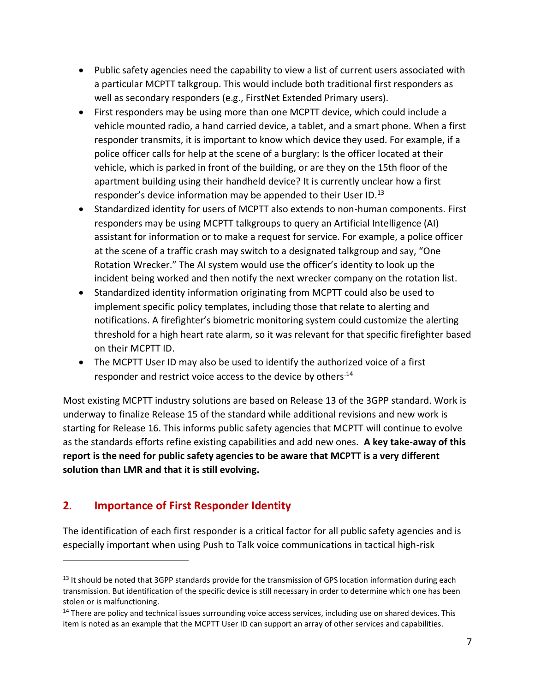- Public safety agencies need the capability to view a list of current users associated with a particular MCPTT talkgroup. This would include both traditional first responders as well as secondary responders (e.g., FirstNet Extended Primary users).
- First responders may be using more than one MCPTT device, which could include a vehicle mounted radio, a hand carried device, a tablet, and a smart phone. When a first responder transmits, it is important to know which device they used. For example, if a police officer calls for help at the scene of a burglary: Is the officer located at their vehicle, which is parked in front of the building, or are they on the 15th floor of the apartment building using their handheld device? It is currently unclear how a first responder's device information may be appended to their User ID. $^{13}$
- Standardized identity for users of MCPTT also extends to non-human components. First responders may be using MCPTT talkgroups to query an Artificial Intelligence (AI) assistant for information or to make a request for service. For example, a police officer at the scene of a traffic crash may switch to a designated talkgroup and say, "One Rotation Wrecker." The AI system would use the officer's identity to look up the incident being worked and then notify the next wrecker company on the rotation list.
- Standardized identity information originating from MCPTT could also be used to implement specific policy templates, including those that relate to alerting and notifications. A firefighter's biometric monitoring system could customize the alerting threshold for a high heart rate alarm, so it was relevant for that specific firefighter based on their MCPTT ID.
- The MCPTT User ID may also be used to identify the authorized voice of a first responder and restrict voice access to the device by others.<sup>14</sup>

Most existing MCPTT industry solutions are based on Release 13 of the 3GPP standard. Work is underway to finalize Release 15 of the standard while additional revisions and new work is starting for Release 16. This informs public safety agencies that MCPTT will continue to evolve as the standards efforts refine existing capabilities and add new ones. **A key take-away of this report is the need for public safety agencies to be aware that MCPTT is a very different solution than LMR and that it is still evolving.** 

# <span id="page-8-0"></span>**2. Importance of First Responder Identity**

 $\overline{\phantom{a}}$ 

The identification of each first responder is a critical factor for all public safety agencies and is especially important when using Push to Talk voice communications in tactical high-risk

<sup>&</sup>lt;sup>13</sup> It should be noted that 3GPP standards provide for the transmission of GPS location information during each transmission. But identification of the specific device is still necessary in order to determine which one has been stolen or is malfunctioning.

<sup>&</sup>lt;sup>14</sup> There are policy and technical issues surrounding voice access services, including use on shared devices. This item is noted as an example that the MCPTT User ID can support an array of other services and capabilities.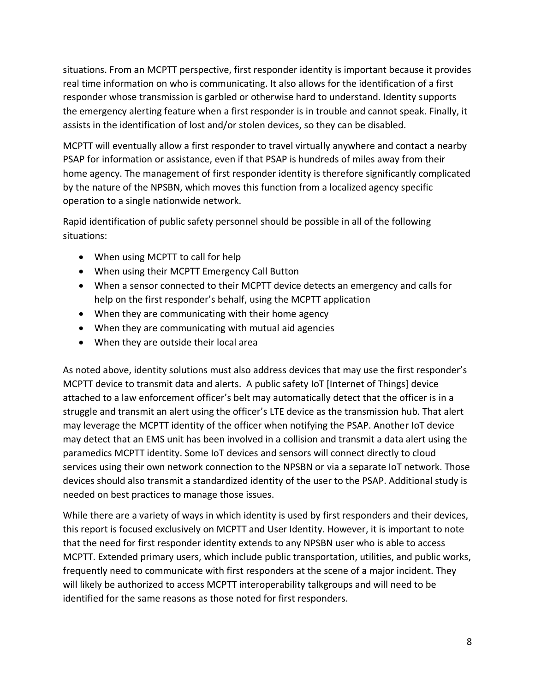situations. From an MCPTT perspective, first responder identity is important because it provides real time information on who is communicating. It also allows for the identification of a first responder whose transmission is garbled or otherwise hard to understand. Identity supports the emergency alerting feature when a first responder is in trouble and cannot speak. Finally, it assists in the identification of lost and/or stolen devices, so they can be disabled.

MCPTT will eventually allow a first responder to travel virtually anywhere and contact a nearby PSAP for information or assistance, even if that PSAP is hundreds of miles away from their home agency. The management of first responder identity is therefore significantly complicated by the nature of the NPSBN, which moves this function from a localized agency specific operation to a single nationwide network.

Rapid identification of public safety personnel should be possible in all of the following situations:

- When using MCPTT to call for help
- When using their MCPTT Emergency Call Button
- When a sensor connected to their MCPTT device detects an emergency and calls for help on the first responder's behalf, using the MCPTT application
- When they are communicating with their home agency
- When they are communicating with mutual aid agencies
- When they are outside their local area

As noted above, identity solutions must also address devices that may use the first responder's MCPTT device to transmit data and alerts. A public safety IoT [Internet of Things] device attached to a law enforcement officer's belt may automatically detect that the officer is in a struggle and transmit an alert using the officer's LTE device as the transmission hub. That alert may leverage the MCPTT identity of the officer when notifying the PSAP. Another IoT device may detect that an EMS unit has been involved in a collision and transmit a data alert using the paramedics MCPTT identity. Some IoT devices and sensors will connect directly to cloud services using their own network connection to the NPSBN or via a separate IoT network. Those devices should also transmit a standardized identity of the user to the PSAP. Additional study is needed on best practices to manage those issues.

While there are a variety of ways in which identity is used by first responders and their devices, this report is focused exclusively on MCPTT and User Identity. However, it is important to note that the need for first responder identity extends to any NPSBN user who is able to access MCPTT. Extended primary users, which include public transportation, utilities, and public works, frequently need to communicate with first responders at the scene of a major incident. They will likely be authorized to access MCPTT interoperability talkgroups and will need to be identified for the same reasons as those noted for first responders.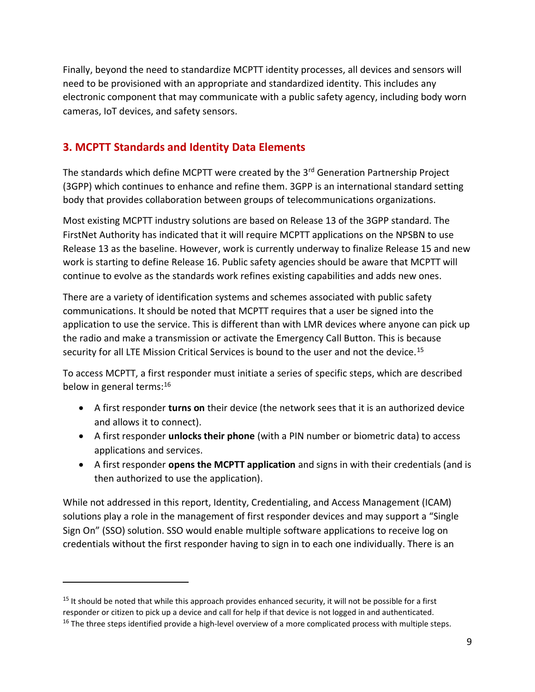Finally, beyond the need to standardize MCPTT identity processes, all devices and sensors will need to be provisioned with an appropriate and standardized identity. This includes any electronic component that may communicate with a public safety agency, including body worn cameras, IoT devices, and safety sensors.

# <span id="page-10-0"></span>**3. MCPTT Standards and Identity Data Elements**

The standards which define MCPTT were created by the 3<sup>rd</sup> Generation Partnership Project (3GPP) which continues to enhance and refine them. 3GPP is an international standard setting body that provides collaboration between groups of telecommunications organizations.

Most existing MCPTT industry solutions are based on Release 13 of the 3GPP standard. The FirstNet Authority has indicated that it will require MCPTT applications on the NPSBN to use Release 13 as the baseline. However, work is currently underway to finalize Release 15 and new work is starting to define Release 16. Public safety agencies should be aware that MCPTT will continue to evolve as the standards work refines existing capabilities and adds new ones.

There are a variety of identification systems and schemes associated with public safety communications. It should be noted that MCPTT requires that a user be signed into the application to use the service. This is different than with LMR devices where anyone can pick up the radio and make a transmission or activate the Emergency Call Button. This is because security for all LTE Mission Critical Services is bound to the user and not the device.<sup>15</sup>

To access MCPTT, a first responder must initiate a series of specific steps, which are described below in general terms:<sup>16</sup>

- A first responder **turns on** their device (the network sees that it is an authorized device and allows it to connect).
- A first responder **unlocks their phone** (with a PIN number or biometric data) to access applications and services.
- A first responder **opens the MCPTT application** and signs in with their credentials (and is then authorized to use the application).

While not addressed in this report, Identity, Credentialing, and Access Management (ICAM) solutions play a role in the management of first responder devices and may support a "Single Sign On" (SSO) solution. SSO would enable multiple software applications to receive log on credentials without the first responder having to sign in to each one individually. There is an

<sup>&</sup>lt;sup>15</sup> It should be noted that while this approach provides enhanced security, it will not be possible for a first responder or citizen to pick up a device and call for help if that device is not logged in and authenticated. <sup>16</sup> The three steps identified provide a high-level overview of a more complicated process with multiple steps.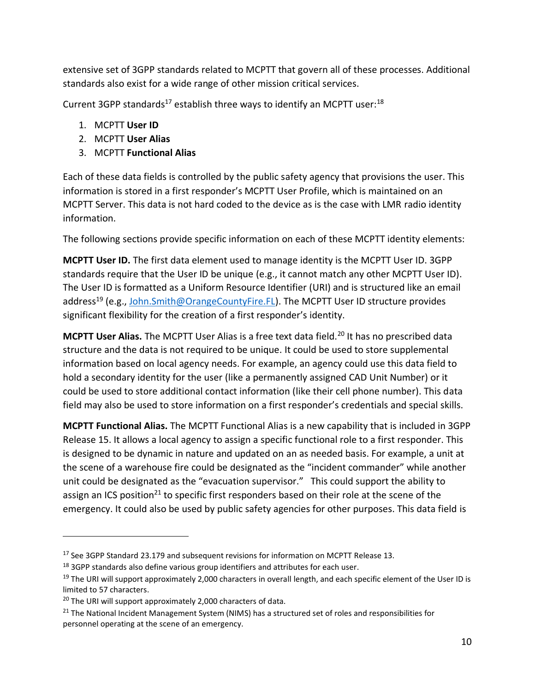extensive set of 3GPP standards related to MCPTT that govern all of these processes. Additional standards also exist for a wide range of other mission critical services.

Current 3GPP standards<sup>17</sup> establish three ways to identify an MCPTT user:<sup>18</sup>

- 1. MCPTT **User ID**
- 2. MCPTT **User Alias**
- 3. MCPTT **Functional Alias**

Each of these data fields is controlled by the public safety agency that provisions the user. This information is stored in a first responder's MCPTT User Profile, which is maintained on an MCPTT Server. This data is not hard coded to the device as is the case with LMR radio identity information.

The following sections provide specific information on each of these MCPTT identity elements:

**MCPTT User ID.** The first data element used to manage identity is the MCPTT User ID. 3GPP standards require that the User ID be unique (e.g., it cannot match any other MCPTT User ID). The User ID is formatted as a Uniform Resource Identifier (URI) and is structured like an email address<sup>19</sup> (e.g., John.Smith@OrangeCountyFire.FL). The MCPTT User ID structure provides significant flexibility for the creation of a first responder's identity.

**MCPTT User Alias.** The MCPTT User Alias is a free text data field.<sup>20</sup> It has no prescribed data structure and the data is not required to be unique. It could be used to store supplemental information based on local agency needs. For example, an agency could use this data field to hold a secondary identity for the user (like a permanently assigned CAD Unit Number) or it could be used to store additional contact information (like their cell phone number). This data field may also be used to store information on a first responder's credentials and special skills.

**MCPTT Functional Alias.** The MCPTT Functional Alias is a new capability that is included in 3GPP Release 15. It allows a local agency to assign a specific functional role to a first responder. This is designed to be dynamic in nature and updated on an as needed basis. For example, a unit at the scene of a warehouse fire could be designated as the "incident commander" while another unit could be designated as the "evacuation supervisor." This could support the ability to assign an ICS position<sup>21</sup> to specific first responders based on their role at the scene of the emergency. It could also be used by public safety agencies for other purposes. This data field is

<sup>&</sup>lt;sup>17</sup> See 3GPP Standard 23.179 and subsequent revisions for information on MCPTT Release 13.

<sup>&</sup>lt;sup>18</sup> 3GPP standards also define various group identifiers and attributes for each user.

 $19$  The URI will support approximately 2,000 characters in overall length, and each specific element of the User ID is limited to 57 characters.

<sup>&</sup>lt;sup>20</sup> The URI will support approximately 2,000 characters of data.

<sup>&</sup>lt;sup>21</sup> The National Incident Management System (NIMS) has a structured set of roles and responsibilities for personnel operating at the scene of an emergency.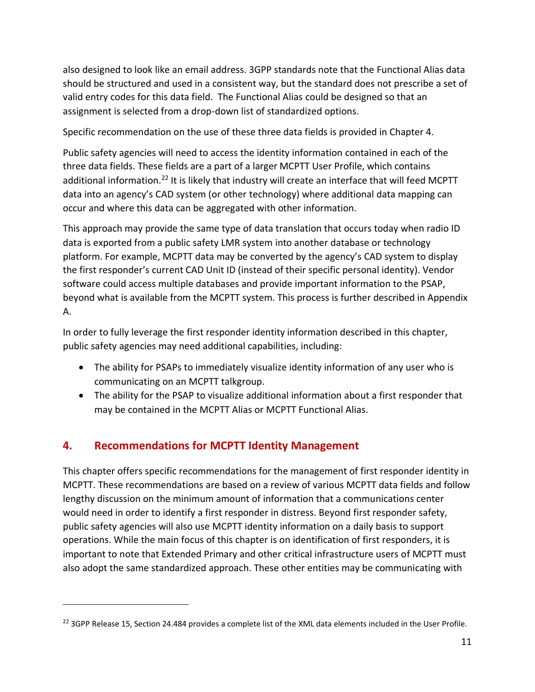also designed to look like an email address. 3GPP standards note that the Functional Alias data should be structured and used in a consistent way, but the standard does not prescribe a set of valid entry codes for this data field. The Functional Alias could be designed so that an assignment is selected from a drop-down list of standardized options.

Specific recommendation on the use of these three data fields is provided in Chapter 4.

Public safety agencies will need to access the identity information contained in each of the three data fields. These fields are a part of a larger MCPTT User Profile, which contains additional information.<sup>22</sup> It is likely that industry will create an interface that will feed MCPTT data into an agency's CAD system (or other technology) where additional data mapping can occur and where this data can be aggregated with other information.

This approach may provide the same type of data translation that occurs today when radio ID data is exported from a public safety LMR system into another database or technology platform. For example, MCPTT data may be converted by the agency's CAD system to display the first responder's current CAD Unit ID (instead of their specific personal identity). Vendor software could access multiple databases and provide important information to the PSAP, beyond what is available from the MCPTT system. This process is further described in Appendix A.

In order to fully leverage the first responder identity information described in this chapter, public safety agencies may need additional capabilities, including:

- The ability for PSAPs to immediately visualize identity information of any user who is communicating on an MCPTT talkgroup.
- The ability for the PSAP to visualize additional information about a first responder that may be contained in the MCPTT Alias or MCPTT Functional Alias.

# <span id="page-12-0"></span>**4. Recommendations for MCPTT Identity Management**

 $\overline{\phantom{a}}$ 

This chapter offers specific recommendations for the management of first responder identity in MCPTT. These recommendations are based on a review of various MCPTT data fields and follow lengthy discussion on the minimum amount of information that a communications center would need in order to identify a first responder in distress. Beyond first responder safety, public safety agencies will also use MCPTT identity information on a daily basis to support operations. While the main focus of this chapter is on identification of first responders, it is important to note that Extended Primary and other critical infrastructure users of MCPTT must also adopt the same standardized approach. These other entities may be communicating with

 $^{22}$  3GPP Release 15, Section 24.484 provides a complete list of the XML data elements included in the User Profile.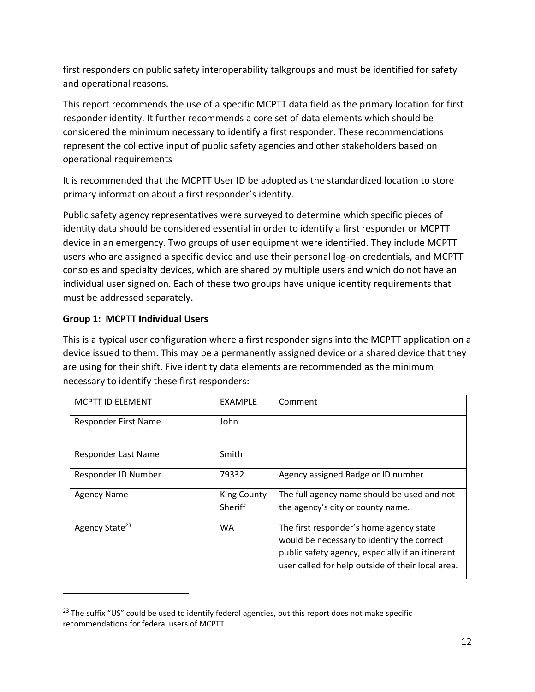first responders on public safety interoperability talkgroups and must be identified for safety and operational reasons.

This report recommends the use of a specific MCPTT data field as the primary location for first responder identity. It further recommends a core set of data elements which should be considered the minimum necessary to identify a first responder. These recommendations represent the collective input of public safety agencies and other stakeholders based on operational requirements

It is recommended that the MCPTT User ID be adopted as the standardized location to store primary information about a first responder's identity.

Public safety agency representatives were surveyed to determine which specific pieces of identity data should be considered essential in order to identify a first responder or MCPTT device in an emergency. Two groups of user equipment were identified. They include MCPTT users who are assigned a specific device and use their personal log-on credentials, and MCPTT consoles and specialty devices, which are shared by multiple users and which do not have an individual user signed on. Each of these two groups have unique identity requirements that must be addressed separately.

#### **Group 1: MCPTT Individual Users**

 $\overline{\phantom{a}}$ 

This is a typical user configuration where a first responder signs into the MCPTT application on a device issued to them. This may be a permanently assigned device or a shared device that they are using for their shift. Five identity data elements are recommended as the minimum necessary to identify these first responders:

| MCPTT ID ELEMENT           | <b>EXAMPLE</b>                | Comment                                                                                                                                                                                        |
|----------------------------|-------------------------------|------------------------------------------------------------------------------------------------------------------------------------------------------------------------------------------------|
| Responder First Name       | John                          |                                                                                                                                                                                                |
| Responder Last Name        | Smith                         |                                                                                                                                                                                                |
| Responder ID Number        | 79332                         | Agency assigned Badge or ID number                                                                                                                                                             |
| <b>Agency Name</b>         | <b>King County</b><br>Sheriff | The full agency name should be used and not<br>the agency's city or county name.                                                                                                               |
| Agency State <sup>23</sup> | WA                            | The first responder's home agency state<br>would be necessary to identify the correct<br>public safety agency, especially if an itinerant<br>user called for help outside of their local area. |

 $23$  The suffix "US" could be used to identify federal agencies, but this report does not make specific recommendations for federal users of MCPTT.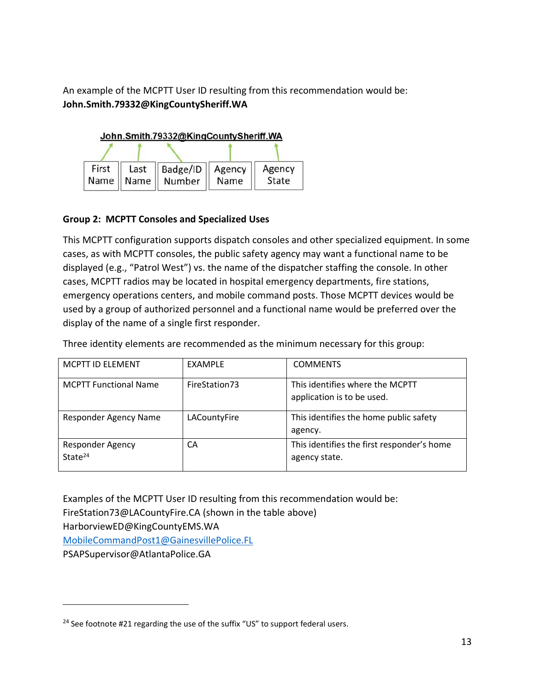An example of the MCPTT User ID resulting from this recommendation would be: **John.Smith.79332@KingCountySheriff.WA**



#### **Group 2: MCPTT Consoles and Specialized Uses**

This MCPTT configuration supports dispatch consoles and other specialized equipment. In some cases, as with MCPTT consoles, the public safety agency may want a functional name to be displayed (e.g., "Patrol West") vs. the name of the dispatcher staffing the console. In other cases, MCPTT radios may be located in hospital emergency departments, fire stations, emergency operations centers, and mobile command posts. Those MCPTT devices would be used by a group of authorized personnel and a functional name would be preferred over the display of the name of a single first responder.

Three identity elements are recommended as the minimum necessary for this group:

| <b>MCPTT ID ELEMENT</b>        | <b>EXAMPLE</b> | <b>COMMENTS</b>                                               |
|--------------------------------|----------------|---------------------------------------------------------------|
| <b>MCPTT Functional Name</b>   | FireStation73  | This identifies where the MCPTT<br>application is to be used. |
| Responder Agency Name          | LACountyFire   | This identifies the home public safety<br>agency.             |
| Responder Agency<br>State $24$ | CA             | This identifies the first responder's home<br>agency state.   |

Examples of the MCPTT User ID resulting from this recommendation would be: FireStation73@LACountyFire.CA (shown in the table above) HarborviewED@KingCountyEMS.WA MobileCommandPost1@GainesvillePolice.FL PSAPSupervisor@AtlantaPolice.GA

<sup>&</sup>lt;sup>24</sup> See footnote #21 regarding the use of the suffix "US" to support federal users.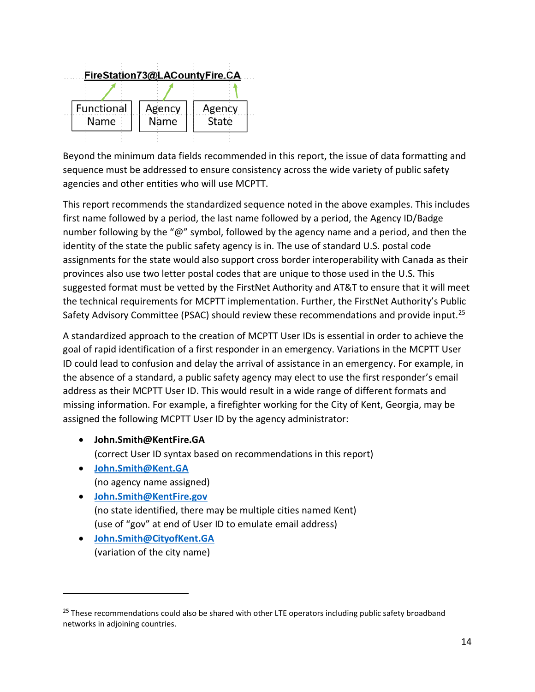

Beyond the minimum data fields recommended in this report, the issue of data formatting and sequence must be addressed to ensure consistency across the wide variety of public safety agencies and other entities who will use MCPTT.

This report recommends the standardized sequence noted in the above examples. This includes first name followed by a period, the last name followed by a period, the Agency ID/Badge number following by the "@" symbol, followed by the agency name and a period, and then the identity of the state the public safety agency is in. The use of standard U.S. postal code assignments for the state would also support cross border interoperability with Canada as their provinces also use two letter postal codes that are unique to those used in the U.S. This suggested format must be vetted by the FirstNet Authority and AT&T to ensure that it will meet the technical requirements for MCPTT implementation. Further, the FirstNet Authority's Public Safety Advisory Committee (PSAC) should review these recommendations and provide input.<sup>25</sup>

A standardized approach to the creation of MCPTT User IDs is essential in order to achieve the goal of rapid identification of a first responder in an emergency. Variations in the MCPTT User ID could lead to confusion and delay the arrival of assistance in an emergency. For example, in the absence of a standard, a public safety agency may elect to use the first responder's email address as their MCPTT User ID. This would result in a wide range of different formats and missing information. For example, a firefighter working for the City of Kent, Georgia, may be assigned the following MCPTT User ID by the agency administrator:

• **John.Smith@KentFire.GA**

(correct User ID syntax based on recommendations in this report)

- **John.Smith@Kent.GA** (no agency name assigned)
- **John.Smith@KentFire.gov** (no state identified, there may be multiple cities named Kent) (use of "gov" at end of User ID to emulate email address)
- **John.Smith@CityofKent.GA** (variation of the city name)

<sup>&</sup>lt;sup>25</sup> These recommendations could also be shared with other LTE operators including public safety broadband networks in adjoining countries.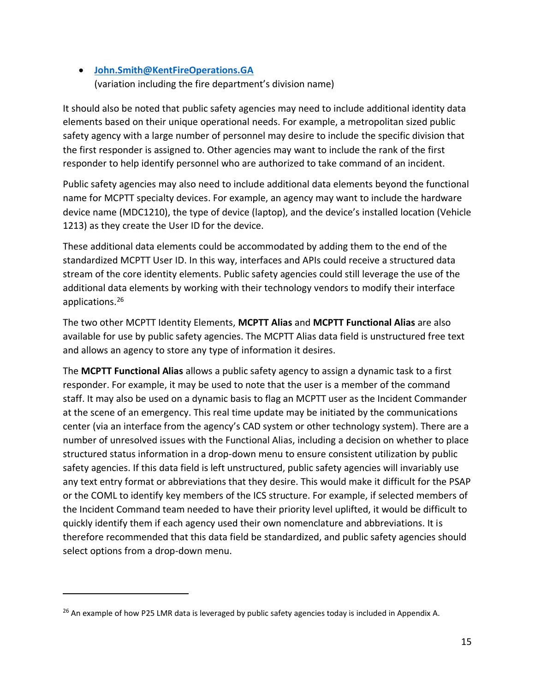### • **John.Smith@KentFireOperations.GA** (variation including the fire department's division name)

It should also be noted that public safety agencies may need to include additional identity data elements based on their unique operational needs. For example, a metropolitan sized public safety agency with a large number of personnel may desire to include the specific division that the first responder is assigned to. Other agencies may want to include the rank of the first responder to help identify personnel who are authorized to take command of an incident.

Public safety agencies may also need to include additional data elements beyond the functional name for MCPTT specialty devices. For example, an agency may want to include the hardware device name (MDC1210), the type of device (laptop), and the device's installed location (Vehicle 1213) as they create the User ID for the device.

These additional data elements could be accommodated by adding them to the end of the standardized MCPTT User ID. In this way, interfaces and APIs could receive a structured data stream of the core identity elements. Public safety agencies could still leverage the use of the additional data elements by working with their technology vendors to modify their interface applications.<sup>26</sup>

The two other MCPTT Identity Elements, **MCPTT Alias** and **MCPTT Functional Alias** are also available for use by public safety agencies. The MCPTT Alias data field is unstructured free text and allows an agency to store any type of information it desires.

The **MCPTT Functional Alias** allows a public safety agency to assign a dynamic task to a first responder. For example, it may be used to note that the user is a member of the command staff. It may also be used on a dynamic basis to flag an MCPTT user as the Incident Commander at the scene of an emergency. This real time update may be initiated by the communications center (via an interface from the agency's CAD system or other technology system). There are a number of unresolved issues with the Functional Alias, including a decision on whether to place structured status information in a drop-down menu to ensure consistent utilization by public safety agencies. If this data field is left unstructured, public safety agencies will invariably use any text entry format or abbreviations that they desire. This would make it difficult for the PSAP or the COML to identify key members of the ICS structure. For example, if selected members of the Incident Command team needed to have their priority level uplifted, it would be difficult to quickly identify them if each agency used their own nomenclature and abbreviations. It is therefore recommended that this data field be standardized, and public safety agencies should select options from a drop-down menu.

<sup>&</sup>lt;sup>26</sup> An example of how P25 LMR data is leveraged by public safety agencies today is included in Appendix A.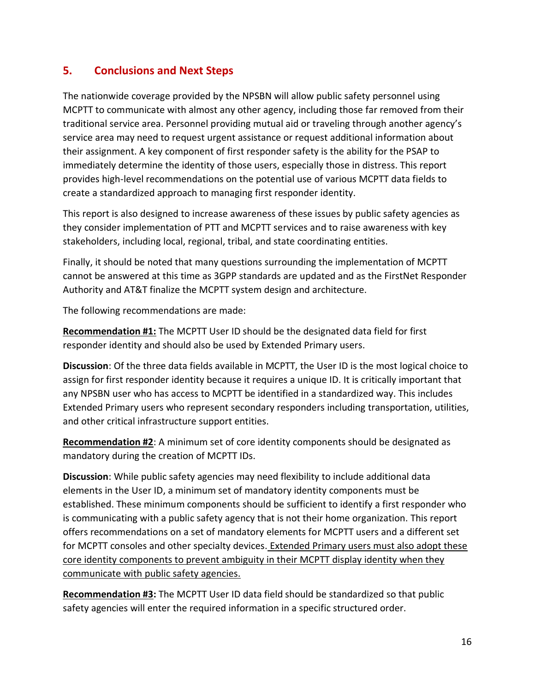### <span id="page-17-0"></span>**5. Conclusions and Next Steps**

The nationwide coverage provided by the NPSBN will allow public safety personnel using MCPTT to communicate with almost any other agency, including those far removed from their traditional service area. Personnel providing mutual aid or traveling through another agency's service area may need to request urgent assistance or request additional information about their assignment. A key component of first responder safety is the ability for the PSAP to immediately determine the identity of those users, especially those in distress. This report provides high-level recommendations on the potential use of various MCPTT data fields to create a standardized approach to managing first responder identity.

This report is also designed to increase awareness of these issues by public safety agencies as they consider implementation of PTT and MCPTT services and to raise awareness with key stakeholders, including local, regional, tribal, and state coordinating entities.

Finally, it should be noted that many questions surrounding the implementation of MCPTT cannot be answered at this time as 3GPP standards are updated and as the FirstNet Responder Authority and AT&T finalize the MCPTT system design and architecture.

The following recommendations are made:

**Recommendation #1:** The MCPTT User ID should be the designated data field for first responder identity and should also be used by Extended Primary users.

**Discussion**: Of the three data fields available in MCPTT, the User ID is the most logical choice to assign for first responder identity because it requires a unique ID. It is critically important that any NPSBN user who has access to MCPTT be identified in a standardized way. This includes Extended Primary users who represent secondary responders including transportation, utilities, and other critical infrastructure support entities.

**Recommendation #2**: A minimum set of core identity components should be designated as mandatory during the creation of MCPTT IDs.

**Discussion**: While public safety agencies may need flexibility to include additional data elements in the User ID, a minimum set of mandatory identity components must be established. These minimum components should be sufficient to identify a first responder who is communicating with a public safety agency that is not their home organization. This report offers recommendations on a set of mandatory elements for MCPTT users and a different set for MCPTT consoles and other specialty devices. Extended Primary users must also adopt these core identity components to prevent ambiguity in their MCPTT display identity when they communicate with public safety agencies.

**Recommendation #3:** The MCPTT User ID data field should be standardized so that public safety agencies will enter the required information in a specific structured order.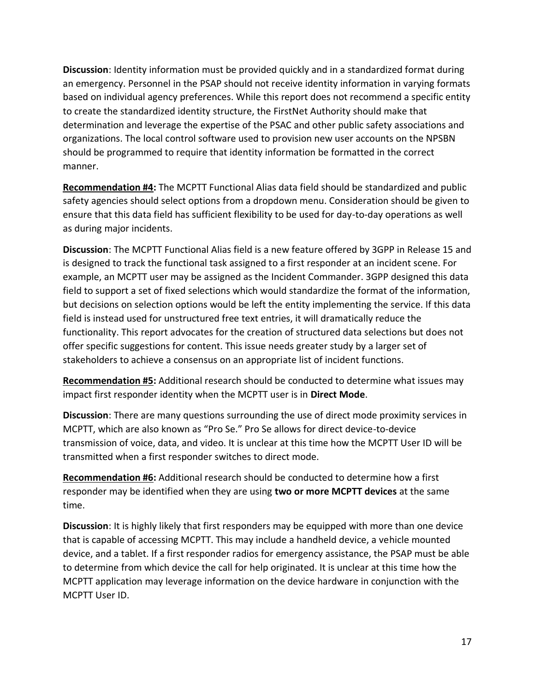**Discussion**: Identity information must be provided quickly and in a standardized format during an emergency. Personnel in the PSAP should not receive identity information in varying formats based on individual agency preferences. While this report does not recommend a specific entity to create the standardized identity structure, the FirstNet Authority should make that determination and leverage the expertise of the PSAC and other public safety associations and organizations. The local control software used to provision new user accounts on the NPSBN should be programmed to require that identity information be formatted in the correct manner.

**Recommendation #4:** The MCPTT Functional Alias data field should be standardized and public safety agencies should select options from a dropdown menu. Consideration should be given to ensure that this data field has sufficient flexibility to be used for day-to-day operations as well as during major incidents.

**Discussion**: The MCPTT Functional Alias field is a new feature offered by 3GPP in Release 15 and is designed to track the functional task assigned to a first responder at an incident scene. For example, an MCPTT user may be assigned as the Incident Commander. 3GPP designed this data field to support a set of fixed selections which would standardize the format of the information, but decisions on selection options would be left the entity implementing the service. If this data field is instead used for unstructured free text entries, it will dramatically reduce the functionality. This report advocates for the creation of structured data selections but does not offer specific suggestions for content. This issue needs greater study by a larger set of stakeholders to achieve a consensus on an appropriate list of incident functions.

**Recommendation #5:** Additional research should be conducted to determine what issues may impact first responder identity when the MCPTT user is in **Direct Mode**.

**Discussion**: There are many questions surrounding the use of direct mode proximity services in MCPTT, which are also known as "Pro Se." Pro Se allows for direct device-to-device transmission of voice, data, and video. It is unclear at this time how the MCPTT User ID will be transmitted when a first responder switches to direct mode.

**Recommendation #6:** Additional research should be conducted to determine how a first responder may be identified when they are using **two or more MCPTT devices** at the same time.

**Discussion**: It is highly likely that first responders may be equipped with more than one device that is capable of accessing MCPTT. This may include a handheld device, a vehicle mounted device, and a tablet. If a first responder radios for emergency assistance, the PSAP must be able to determine from which device the call for help originated. It is unclear at this time how the MCPTT application may leverage information on the device hardware in conjunction with the MCPTT User ID.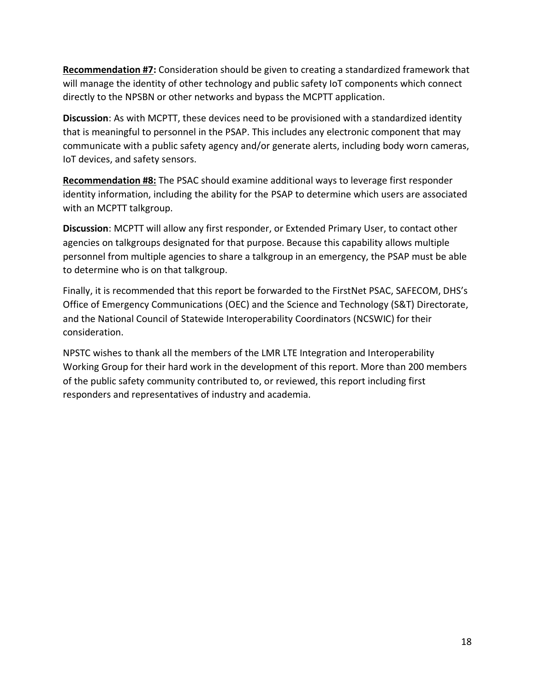**Recommendation #7:** Consideration should be given to creating a standardized framework that will manage the identity of other technology and public safety IoT components which connect directly to the NPSBN or other networks and bypass the MCPTT application.

**Discussion**: As with MCPTT, these devices need to be provisioned with a standardized identity that is meaningful to personnel in the PSAP. This includes any electronic component that may communicate with a public safety agency and/or generate alerts, including body worn cameras, IoT devices, and safety sensors.

**Recommendation #8:** The PSAC should examine additional ways to leverage first responder identity information, including the ability for the PSAP to determine which users are associated with an MCPTT talkgroup.

**Discussion**: MCPTT will allow any first responder, or Extended Primary User, to contact other agencies on talkgroups designated for that purpose. Because this capability allows multiple personnel from multiple agencies to share a talkgroup in an emergency, the PSAP must be able to determine who is on that talkgroup.

Finally, it is recommended that this report be forwarded to the FirstNet PSAC, SAFECOM, DHS's Office of Emergency Communications (OEC) and the Science and Technology (S&T) Directorate, and the National Council of Statewide Interoperability Coordinators (NCSWIC) for their consideration.

NPSTC wishes to thank all the members of the LMR LTE Integration and Interoperability Working Group for their hard work in the development of this report. More than 200 members of the public safety community contributed to, or reviewed, this report including first responders and representatives of industry and academia.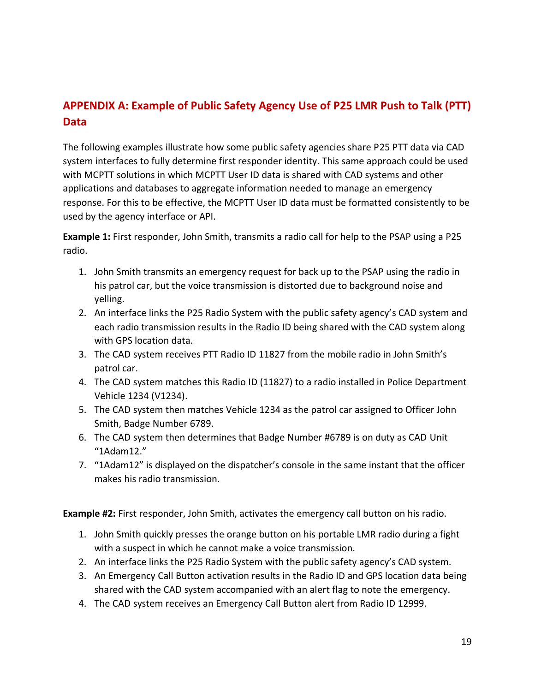# <span id="page-20-0"></span>**APPENDIX A: Example of Public Safety Agency Use of P25 LMR Push to Talk (PTT) Data**

The following examples illustrate how some public safety agencies share P25 PTT data via CAD system interfaces to fully determine first responder identity. This same approach could be used with MCPTT solutions in which MCPTT User ID data is shared with CAD systems and other applications and databases to aggregate information needed to manage an emergency response. For this to be effective, the MCPTT User ID data must be formatted consistently to be used by the agency interface or API.

**Example 1:** First responder, John Smith, transmits a radio call for help to the PSAP using a P25 radio.

- 1. John Smith transmits an emergency request for back up to the PSAP using the radio in his patrol car, but the voice transmission is distorted due to background noise and yelling.
- 2. An interface links the P25 Radio System with the public safety agency's CAD system and each radio transmission results in the Radio ID being shared with the CAD system along with GPS location data.
- 3. The CAD system receives PTT Radio ID 11827 from the mobile radio in John Smith's patrol car.
- 4. The CAD system matches this Radio ID (11827) to a radio installed in Police Department Vehicle 1234 (V1234).
- 5. The CAD system then matches Vehicle 1234 as the patrol car assigned to Officer John Smith, Badge Number 6789.
- 6. The CAD system then determines that Badge Number #6789 is on duty as CAD Unit "1Adam12."
- 7. "1Adam12" is displayed on the dispatcher's console in the same instant that the officer makes his radio transmission.

**Example #2:** First responder, John Smith, activates the emergency call button on his radio.

- 1. John Smith quickly presses the orange button on his portable LMR radio during a fight with a suspect in which he cannot make a voice transmission.
- 2. An interface links the P25 Radio System with the public safety agency's CAD system.
- 3. An Emergency Call Button activation results in the Radio ID and GPS location data being shared with the CAD system accompanied with an alert flag to note the emergency.
- 4. The CAD system receives an Emergency Call Button alert from Radio ID 12999.